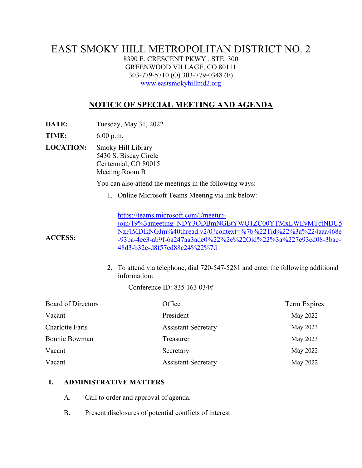## EAST SMOKY HILL METROPOLITAN DISTRICT NO. 2 8390 E. CRESCENT PKWY., STE. 300 GREENWOOD VILLAGE, CO 80111 303-779-5710 (O) 303-779-0348 (F) [www.eastsmokyhillmd2.org](http://www.eastsmokyhillmd2.org/)

# **NOTICE OF SPECIAL MEETING AND AGENDA**

**DATE:** Tuesday, May 31, 2022

**TIME:** 6:00 p.m.

**ACCESS:**

**LOCATION:** Smoky Hill Library 5430 S. Biscay Circle Centennial, CO 80015 Meeting Room B

You can also attend the meetings in the following ways:

1. Online Microsoft Teams Meeting via link below:

[https://teams.microsoft.com/l/meetup](https://teams.microsoft.com/l/meetup-join/19%3ameeting_NDY3ODBmNGEtYWQ1ZC00YTMxLWEyMTctNDU5NzFlMDlkNGJm%40thread.v2/0?context=%7b%22Tid%22%3a%224aaa468e-93ba-4ee3-ab9f-6a247aa3ade0%22%2c%22Oid%22%3a%227e93cd08-3bae-48d3-b32e-d8f57cd88c24%22%7d)[join/19%3ameeting\\_NDY3ODBmNGEtYWQ1ZC00YTMxLWEyMTctNDU5](https://teams.microsoft.com/l/meetup-join/19%3ameeting_NDY3ODBmNGEtYWQ1ZC00YTMxLWEyMTctNDU5NzFlMDlkNGJm%40thread.v2/0?context=%7b%22Tid%22%3a%224aaa468e-93ba-4ee3-ab9f-6a247aa3ade0%22%2c%22Oid%22%3a%227e93cd08-3bae-48d3-b32e-d8f57cd88c24%22%7d) [NzFlMDlkNGJm%40thread.v2/0?context=%7b%22Tid%22%3a%224aaa468e](https://teams.microsoft.com/l/meetup-join/19%3ameeting_NDY3ODBmNGEtYWQ1ZC00YTMxLWEyMTctNDU5NzFlMDlkNGJm%40thread.v2/0?context=%7b%22Tid%22%3a%224aaa468e-93ba-4ee3-ab9f-6a247aa3ade0%22%2c%22Oid%22%3a%227e93cd08-3bae-48d3-b32e-d8f57cd88c24%22%7d) [-93ba-4ee3-ab9f-6a247aa3ade0%22%2c%22Oid%22%3a%227e93cd08-3bae-](https://teams.microsoft.com/l/meetup-join/19%3ameeting_NDY3ODBmNGEtYWQ1ZC00YTMxLWEyMTctNDU5NzFlMDlkNGJm%40thread.v2/0?context=%7b%22Tid%22%3a%224aaa468e-93ba-4ee3-ab9f-6a247aa3ade0%22%2c%22Oid%22%3a%227e93cd08-3bae-48d3-b32e-d8f57cd88c24%22%7d)[48d3-b32e-d8f57cd88c24%22%7d](https://teams.microsoft.com/l/meetup-join/19%3ameeting_NDY3ODBmNGEtYWQ1ZC00YTMxLWEyMTctNDU5NzFlMDlkNGJm%40thread.v2/0?context=%7b%22Tid%22%3a%224aaa468e-93ba-4ee3-ab9f-6a247aa3ade0%22%2c%22Oid%22%3a%227e93cd08-3bae-48d3-b32e-d8f57cd88c24%22%7d)

2. To attend via telephone, dial 720-547-5281 and enter the following additional information:

Conference ID: 835 163 034#

| Board of Directors   | Office                     | Term Expires |
|----------------------|----------------------------|--------------|
| Vacant               | President                  | May 2022     |
| Charlotte Faris      | <b>Assistant Secretary</b> | May 2023     |
| <b>Bonnie Bowman</b> | Treasurer                  | May 2023     |
| Vacant               | Secretary                  | May 2022     |
| Vacant               | <b>Assistant Secretary</b> | May 2022     |

#### **I. ADMINISTRATIVE MATTERS**

- A. Call to order and approval of agenda.
- B. Present disclosures of potential conflicts of interest.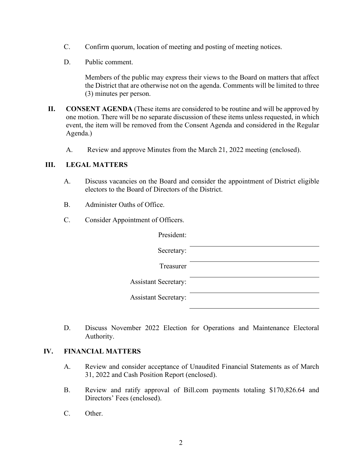- C. Confirm quorum, location of meeting and posting of meeting notices.
- D. Public comment.

Members of the public may express their views to the Board on matters that affect the District that are otherwise not on the agenda. Comments will be limited to three (3) minutes per person.

- **II. CONSENT AGENDA** (These items are considered to be routine and will be approved by one motion. There will be no separate discussion of these items unless requested, in which event, the item will be removed from the Consent Agenda and considered in the Regular Agenda.)
	- A. Review and approve Minutes from the March 21, 2022 meeting (enclosed).

### **III. LEGAL MATTERS**

- A. Discuss vacancies on the Board and consider the appointment of District eligible electors to the Board of Directors of the District.
- B. Administer Oaths of Office.
- C. Consider Appointment of Officers.

| President:                  |  |
|-----------------------------|--|
| Secretary:                  |  |
| Treasurer                   |  |
| <b>Assistant Secretary:</b> |  |
| <b>Assistant Secretary:</b> |  |

D. Discuss November 2022 Election for Operations and Maintenance Electoral Authority.

#### **IV. FINANCIAL MATTERS**

- A. Review and consider acceptance of Unaudited Financial Statements as of March 31, 2022 and Cash Position Report (enclosed).
- B. Review and ratify approval of Bill.com payments totaling \$170,826.64 and Directors' Fees (enclosed).
- C. Other.